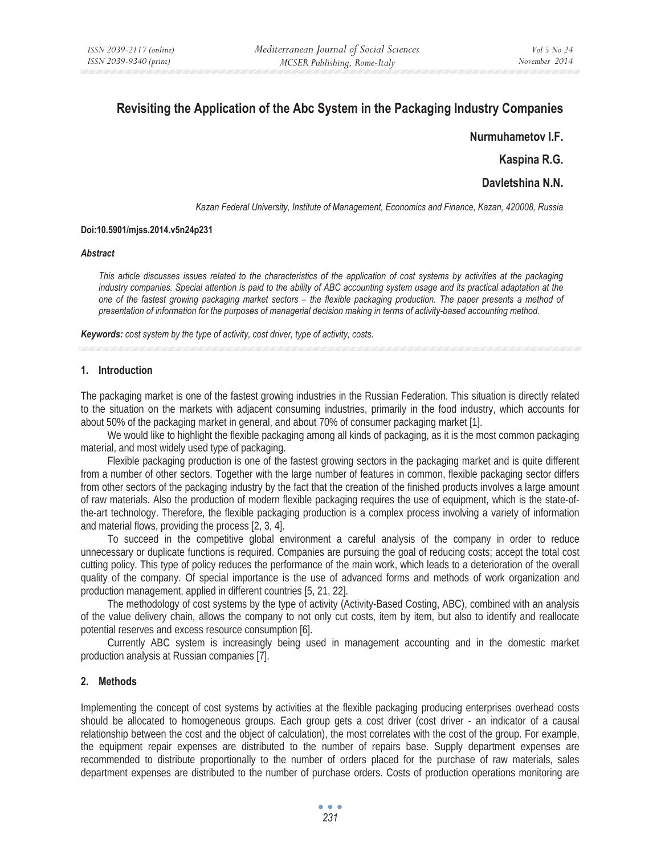# **Revisiting the Application of the Abc System in the Packaging Industry Companies**

**Nurmuhametov I.F.** 

**Kaspina R.G.** 

**Davletshina N.N.**

*Kazan Federal University, Institute of Management, Economics and Finance, Kazan, 420008, Russia* 

## **Doi:10.5901/mjss.2014.v5n24p231**

#### *Abstract*

*This article discusses issues related to the characteristics of the application of cost systems by activities at the packaging industry companies. Special attention is paid to the ability of ABC accounting system usage and its practical adaptation at the one of the fastest growing packaging market sectors – the flexible packaging production. The paper presents a method of presentation of information for the purposes of managerial decision making in terms of activity-based accounting method.* 

*Keywords: cost system by the type of activity, cost driver, type of activity, costs.* 

## **1. Introduction**

The packaging market is one of the fastest growing industries in the Russian Federation. This situation is directly related to the situation on the markets with adjacent consuming industries, primarily in the food industry, which accounts for about 50% of the packaging market in general, and about 70% of consumer packaging market [1].

We would like to highlight the flexible packaging among all kinds of packaging, as it is the most common packaging material, and most widely used type of packaging.

Flexible packaging production is one of the fastest growing sectors in the packaging market and is quite different from a number of other sectors. Together with the large number of features in common, flexible packaging sector differs from other sectors of the packaging industry by the fact that the creation of the finished products involves a large amount of raw materials. Also the production of modern flexible packaging requires the use of equipment, which is the state-ofthe-art technology. Therefore, the flexible packaging production is a complex process involving a variety of information and material flows, providing the process [2, 3, 4].

To succeed in the competitive global environment a careful analysis of the company in order to reduce unnecessary or duplicate functions is required. Companies are pursuing the goal of reducing costs; accept the total cost cutting policy. This type of policy reduces the performance of the main work, which leads to a deterioration of the overall quality of the company. Of special importance is the use of advanced forms and methods of work organization and production management, applied in different countries [5, 21, 22].

The methodology of cost systems by the type of activity (Activity-Based Costing, ABC), combined with an analysis of the value delivery chain, allows the company to not only cut costs, item by item, but also to identify and reallocate potential reserves and excess resource consumption [6].

Currently ABC system is increasingly being used in management accounting and in the domestic market production analysis at Russian companies [7].

# **2. Methods**

Implementing the concept of cost systems by activities at the flexible packaging producing enterprises overhead costs should be allocated to homogeneous groups. Each group gets a cost driver (cost driver - an indicator of a causal relationship between the cost and the object of calculation), the most correlates with the cost of the group. For example, the equipment repair expenses are distributed to the number of repairs base. Supply department expenses are recommended to distribute proportionally to the number of orders placed for the purchase of raw materials, sales department expenses are distributed to the number of purchase orders. Costs of production operations monitoring are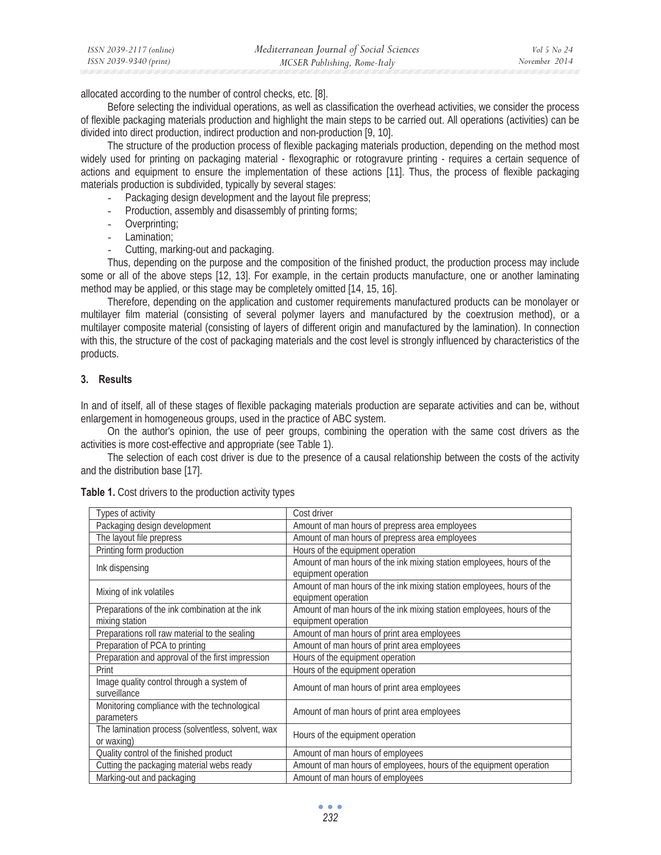| ISSN 2039-2117 (online) | Mediterranean Journal of Social Sciences | Vol 5 No 24   |
|-------------------------|------------------------------------------|---------------|
| ISSN 2039-9340 (print)  | MCSER Publishing, Rome-Italy             | November 2014 |

allocated according to the number of control checks, etc. [8].

Before selecting the individual operations, as well as classification the overhead activities, we consider the process of flexible packaging materials production and highlight the main steps to be carried out. All operations (activities) can be divided into direct production, indirect production and non-production [9, 10].

The structure of the production process of flexible packaging materials production, depending on the method most widely used for printing on packaging material - flexographic or rotogravure printing - requires a certain sequence of actions and equipment to ensure the implementation of these actions [11]. Thus, the process of flexible packaging materials production is subdivided, typically by several stages:

- Packaging design development and the layout file prepress;
- Production, assembly and disassembly of printing forms;
- Overprinting;
- Lamination;
- Cutting, marking-out and packaging.

Thus, depending on the purpose and the composition of the finished product, the production process may include some or all of the above steps [12, 13]. For example, in the certain products manufacture, one or another laminating method may be applied, or this stage may be completely omitted [14, 15, 16].

Therefore, depending on the application and customer requirements manufactured products can be monolayer or multilayer film material (consisting of several polymer layers and manufactured by the coextrusion method), or a multilayer composite material (consisting of layers of different origin and manufactured by the lamination). In connection with this, the structure of the cost of packaging materials and the cost level is strongly influenced by characteristics of the products.

# **3. Results**

In and of itself, all of these stages of flexible packaging materials production are separate activities and can be, without enlargement in homogeneous groups, used in the practice of ABC system.

On the author's opinion, the use of peer groups, combining the operation with the same cost drivers as the activities is more cost-effective and appropriate (see Table 1).

The selection of each cost driver is due to the presence of a causal relationship between the costs of the activity and the distribution base [17].

| Types of activity                                               | Cost driver                                                                                  |
|-----------------------------------------------------------------|----------------------------------------------------------------------------------------------|
| Packaging design development                                    | Amount of man hours of prepress area employees                                               |
| The layout file prepress                                        | Amount of man hours of prepress area employees                                               |
| Printing form production                                        | Hours of the equipment operation                                                             |
| Ink dispensing                                                  | Amount of man hours of the ink mixing station employees, hours of the<br>equipment operation |
| Mixing of ink volatiles                                         | Amount of man hours of the ink mixing station employees, hours of the<br>equipment operation |
| Preparations of the ink combination at the ink                  | Amount of man hours of the ink mixing station employees, hours of the                        |
| mixing station                                                  | equipment operation                                                                          |
| Preparations roll raw material to the sealing                   | Amount of man hours of print area employees                                                  |
| Preparation of PCA to printing                                  | Amount of man hours of print area employees                                                  |
| Preparation and approval of the first impression                | Hours of the equipment operation                                                             |
| Print                                                           | Hours of the equipment operation                                                             |
| Image quality control through a system of<br>surveillance       | Amount of man hours of print area employees                                                  |
| Monitoring compliance with the technological<br>parameters      | Amount of man hours of print area employees                                                  |
| The lamination process (solventless, solvent, wax<br>or waxing) | Hours of the equipment operation                                                             |
| Quality control of the finished product                         | Amount of man hours of employees                                                             |
| Cutting the packaging material webs ready                       | Amount of man hours of employees, hours of the equipment operation                           |
| Marking-out and packaging                                       | Amount of man hours of employees                                                             |

**Table 1.** Cost drivers to the production activity types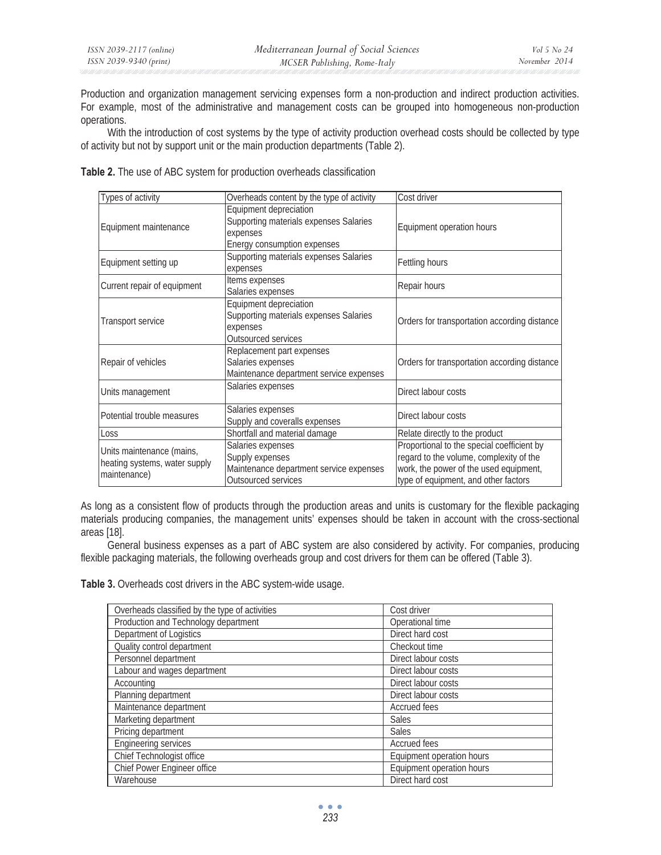Production and organization management servicing expenses form a non-production and indirect production activities. For example, most of the administrative and management costs can be grouped into homogeneous non-production operations.

With the introduction of cost systems by the type of activity production overhead costs should be collected by type of activity but not by support unit or the main production departments (Table 2).

| Types of activity                                                          | Overheads content by the type of activity                                                                   | Cost driver                                                                                                                                                             |
|----------------------------------------------------------------------------|-------------------------------------------------------------------------------------------------------------|-------------------------------------------------------------------------------------------------------------------------------------------------------------------------|
| Equipment maintenance                                                      | Equipment depreciation<br>Supporting materials expenses Salaries<br>expenses<br>Energy consumption expenses | Equipment operation hours                                                                                                                                               |
| Equipment setting up                                                       | Supporting materials expenses Salaries<br>expenses                                                          | Fettling hours                                                                                                                                                          |
| Current repair of equipment                                                | Items expenses<br>Salaries expenses                                                                         | Repair hours                                                                                                                                                            |
| Transport service                                                          | Equipment depreciation<br>Supporting materials expenses Salaries<br>expenses<br>Outsourced services         | Orders for transportation according distance                                                                                                                            |
| Repair of vehicles                                                         | Replacement part expenses<br>Salaries expenses<br>Maintenance department service expenses                   | Orders for transportation according distance                                                                                                                            |
| Units management                                                           | Salaries expenses                                                                                           | Direct labour costs                                                                                                                                                     |
| Potential trouble measures                                                 | Salaries expenses<br>Supply and coveralls expenses                                                          | Direct labour costs                                                                                                                                                     |
| Loss                                                                       | Shortfall and material damage                                                                               | Relate directly to the product                                                                                                                                          |
| Units maintenance (mains,<br>heating systems, water supply<br>maintenance) | Salaries expenses<br>Supply expenses<br>Maintenance department service expenses<br>Outsourced services      | Proportional to the special coefficient by<br>regard to the volume, complexity of the<br>work, the power of the used equipment,<br>type of equipment, and other factors |

**Table 2.** The use of ABC system for production overheads classification

As long as a consistent flow of products through the production areas and units is customary for the flexible packaging materials producing companies, the management units' expenses should be taken in account with the cross-sectional areas [18].

General business expenses as a part of ABC system are also considered by activity. For companies, producing flexible packaging materials, the following overheads group and cost drivers for them can be offered (Table 3).

**Table 3.** Overheads cost drivers in the ABC system-wide usage.

| Overheads classified by the type of activities | Cost driver               |
|------------------------------------------------|---------------------------|
| Production and Technology department           | Operational time          |
| Department of Logistics                        | Direct hard cost          |
| Quality control department                     | Checkout time             |
| Personnel department                           | Direct labour costs       |
| Labour and wages department                    | Direct labour costs       |
| Accounting                                     | Direct labour costs       |
| Planning department                            | Direct labour costs       |
| Maintenance department                         | <b>Accrued fees</b>       |
| Marketing department                           | <b>Sales</b>              |
| Pricing department                             | Sales                     |
| <b>Engineering services</b>                    | <b>Accrued fees</b>       |
| Chief Technologist office                      | Equipment operation hours |
| Chief Power Engineer office                    | Equipment operation hours |
| Warehouse                                      | Direct hard cost          |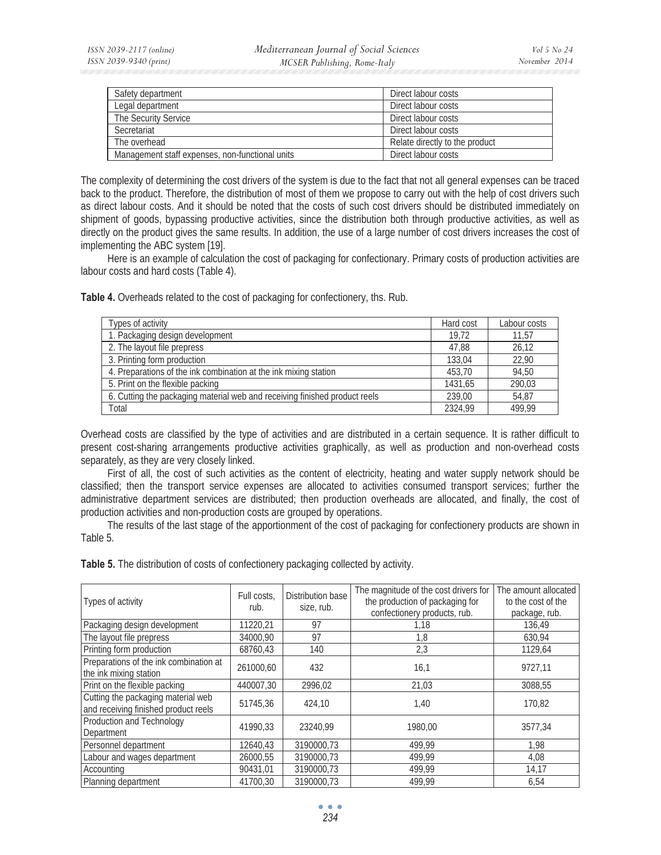| Safety department                               | Direct labour costs            |
|-------------------------------------------------|--------------------------------|
| Legal department                                | Direct labour costs            |
| The Security Service                            | Direct labour costs            |
| Secretariat                                     | Direct labour costs            |
| The overhead                                    | Relate directly to the product |
| Management staff expenses, non-functional units | Direct labour costs            |

The complexity of determining the cost drivers of the system is due to the fact that not all general expenses can be traced back to the product. Therefore, the distribution of most of them we propose to carry out with the help of cost drivers such as direct labour costs. And it should be noted that the costs of such cost drivers should be distributed immediately on shipment of goods, bypassing productive activities, since the distribution both through productive activities, as well as directly on the product gives the same results. In addition, the use of a large number of cost drivers increases the cost of implementing the ABC system [19].

Here is an example of calculation the cost of packaging for confectionary. Primary costs of production activities are labour costs and hard costs (Table 4).

**Table 4.** Overheads related to the cost of packaging for confectionery, ths. Rub.

| Types of activity                                                          | Hard cost | Labour costs |
|----------------------------------------------------------------------------|-----------|--------------|
| 1. Packaging design development                                            | 19.72     | 11.57        |
| 2. The layout file prepress                                                | 47.88     | 26,12        |
| 3. Printing form production                                                | 133.04    | 22.90        |
| 4. Preparations of the ink combination at the ink mixing station           | 453.70    | 94,50        |
| 5. Print on the flexible packing                                           | 1431.65   | 290,03       |
| 6. Cutting the packaging material web and receiving finished product reels | 239.00    | 54.87        |
| Total                                                                      | 2324.99   | 499,99       |

Overhead costs are classified by the type of activities and are distributed in a certain sequence. It is rather difficult to present cost-sharing arrangements productive activities graphically, as well as production and non-overhead costs separately, as they are very closely linked.

First of all, the cost of such activities as the content of electricity, heating and water supply network should be classified; then the transport service expenses are allocated to activities consumed transport services; further the administrative department services are distributed; then production overheads are allocated, and finally, the cost of production activities and non-production costs are grouped by operations.

The results of the last stage of the apportionment of the cost of packaging for confectionery products are shown in Table 5.

Table 5. The distribution of costs of confectionery packaging collected by activity.

| Types of activity                                                          | Full costs.<br>rub. | Distribution base<br>size, rub. | The magnitude of the cost drivers for<br>the production of packaging for<br>confectionery products, rub. | The amount allocated<br>to the cost of the<br>package, rub. |
|----------------------------------------------------------------------------|---------------------|---------------------------------|----------------------------------------------------------------------------------------------------------|-------------------------------------------------------------|
| Packaging design development                                               | 11220,21            | 97                              | 1,18                                                                                                     | 136.49                                                      |
| The layout file prepress                                                   | 34000,90            | 97                              | 1,8                                                                                                      | 630,94                                                      |
| Printing form production                                                   | 68760,43            | 140                             | 2,3                                                                                                      | 1129,64                                                     |
| Preparations of the ink combination at<br>the ink mixing station           | 261000,60           | 432                             | 16,1                                                                                                     | 9727,11                                                     |
| Print on the flexible packing                                              | 440007,30           | 2996,02                         | 21,03                                                                                                    | 3088,55                                                     |
| Cutting the packaging material web<br>and receiving finished product reels | 51745,36            | 424.10                          | 1,40                                                                                                     | 170,82                                                      |
| Production and Technology<br>Department                                    | 41990.33            | 23240.99                        | 1980.00                                                                                                  | 3577.34                                                     |
| Personnel department                                                       | 12640,43            | 3190000.73                      | 499,99                                                                                                   | 1,98                                                        |
| Labour and wages department                                                | 26000.55            | 3190000.73                      | 499.99                                                                                                   | 4,08                                                        |
| Accounting                                                                 | 90431,01            | 3190000,73                      | 499,99                                                                                                   | 14,17                                                       |
| Planning department                                                        | 41700,30            | 3190000.73                      | 499.99                                                                                                   | 6,54                                                        |

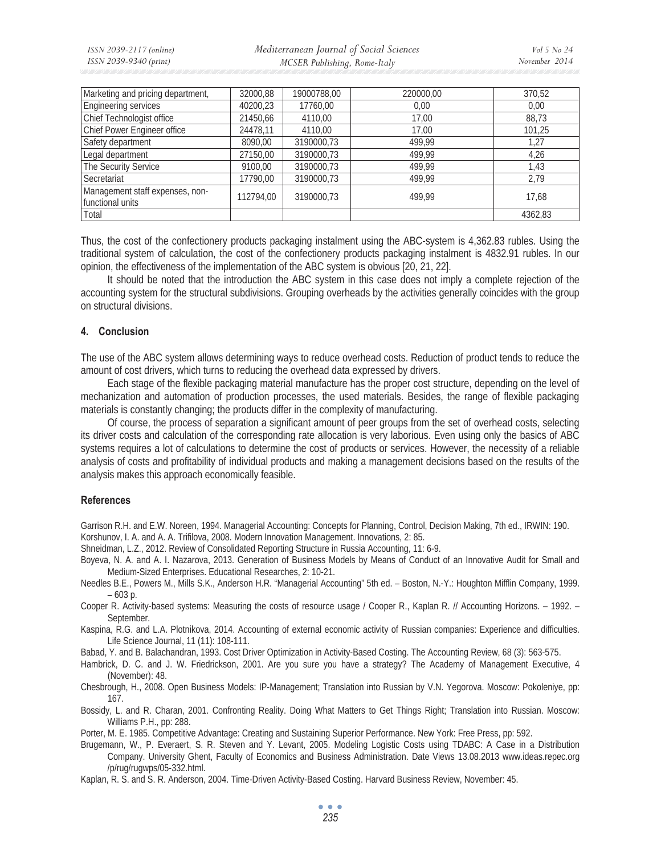*Mediterranean Journal of Social Sciences MCSER Publishing, Rome-Italy* 

| Marketing and pricing department,                   | 32000,88  | 19000788,00 | 220000.00 | 370,52  |
|-----------------------------------------------------|-----------|-------------|-----------|---------|
| Engineering services                                | 40200,23  | 17760,00    | 0,00      | 0.00    |
| Chief Technologist office                           | 21450,66  | 4110,00     | 17.00     | 88,73   |
| Chief Power Engineer office                         | 24478,11  | 4110.00     | 17,00     | 101.25  |
| Safety department                                   | 8090.00   | 3190000.73  | 499.99    | 1,27    |
| Legal department                                    | 27150,00  | 3190000.73  | 499.99    | 4.26    |
| The Security Service                                | 9100,00   | 3190000,73  | 499.99    | 1,43    |
| Secretariat                                         | 17790,00  | 3190000,73  | 499,99    | 2,79    |
| Management staff expenses, non-<br>functional units | 112794,00 | 3190000,73  | 499.99    | 17,68   |
| Total                                               |           |             |           | 4362,83 |

Thus, the cost of the confectionery products packaging instalment using the ABC-system is 4,362.83 rubles. Using the traditional system of calculation, the cost of the confectionery products packaging instalment is 4832.91 rubles. In our opinion, the effectiveness of the implementation of the ABC system is obvious [20, 21, 22].

It should be noted that the introduction the ABC system in this case does not imply a complete rejection of the accounting system for the structural subdivisions. Grouping overheads by the activities generally coincides with the group on structural divisions.

# **4. Conclusion**

The use of the ABC system allows determining ways to reduce overhead costs. Reduction of product tends to reduce the amount of cost drivers, which turns to reducing the overhead data expressed by drivers.

Each stage of the flexible packaging material manufacture has the proper cost structure, depending on the level of mechanization and automation of production processes, the used materials. Besides, the range of flexible packaging materials is constantly changing; the products differ in the complexity of manufacturing.

Of course, the process of separation a significant amount of peer groups from the set of overhead costs, selecting its driver costs and calculation of the corresponding rate allocation is very laborious. Even using only the basics of ABC systems requires a lot of calculations to determine the cost of products or services. However, the necessity of a reliable analysis of costs and profitability of individual products and making a management decisions based on the results of the analysis makes this approach economically feasible.

## **References**

Garrison R.H. and E.W. Noreen, 1994. Managerial Accounting: Concepts for Planning, Control, Decision Making, 7th ed., IRWIN: 190. Korshunov, I. A. and A. A. Trifilova, 2008. Modern Innovation Management. Innovations, 2: 85.

Shneidman, L.Z., 2012. Review of Consolidated Reporting Structure in Russia Accounting, 11: 6-9.

Boyeva, N. A. and A. I. Nazarova, 2013. Generation of Business Models by Means of Conduct of an Innovative Audit for Small and Medium-Sized Enterprises. Educational Researches, 2: 10-21.

Needles B.E., Powers M., Mills S.K., Anderson H.R. "Managerial Accounting" 5th ed. – Boston, N.-Y.: Houghton Mifflin Company, 1999. – 603 p.

Cooper R. Activity-based systems: Measuring the costs of resource usage / Cooper R., Kaplan R. // Accounting Horizons. – 1992. – September.

Kaspina, R.G. and L.A. Plotnikova, 2014. Accounting of external economic activity of Russian companies: Experience and difficulties. Life Science Journal, 11 (11): 108-111.

Babad, Y. and B. Balachandran, 1993. Cost Driver Optimization in Activity-Based Costing. The Accounting Review, 68 (3): 563-575.

Hambrick, D. C. and J. W. Friedrickson, 2001. Are you sure you have a strategy? The Academy of Management Executive, 4 (November): 48.

Chesbrough, H., 2008. Open Business Models: IP-Management; Translation into Russian by V.N. Yegorova. Moscow: Pokoleniye, pp: 167.

Bossidy, L. and R. Charan, 2001. Confronting Reality. Doing What Matters to Get Things Right; Translation into Russian. Moscow: Williams P.H., pp: 288.

Porter, M. E. 1985. Competitive Advantage: Creating and Sustaining Superior Performance. New York: Free Press, pp: 592.

Brugemann, W., P. Everaert, S. R. Steven and Y. Levant, 2005. Modeling Logistic Costs using TDABC: A Case in a Distribution Company. University Ghent, Faculty of Economics and Business Administration. Date Views 13.08.2013 www.ideas.repec.org /p/rug/rugwps/05-332.html.

Kaplan, R. S. and S. R. Anderson, 2004. Time-Driven Activity-Based Costing. Harvard Business Review, November: 45.